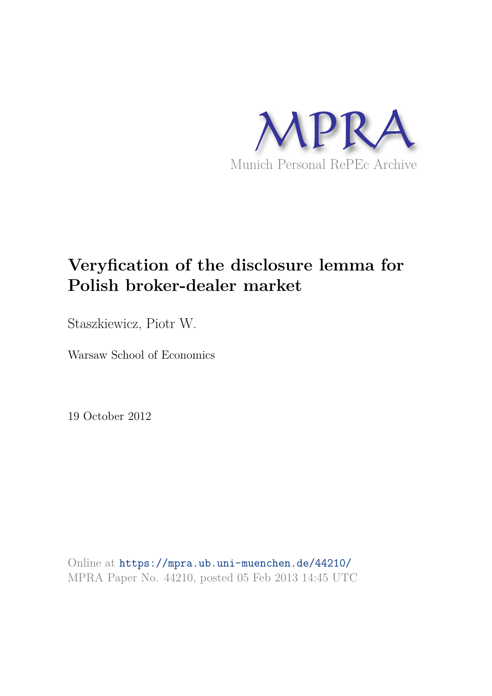

# **Veryfication of the disclosure lemma for Polish broker-dealer market**

Staszkiewicz, Piotr W.

Warsaw School of Economics

19 October 2012

Online at https://mpra.ub.uni-muenchen.de/44210/ MPRA Paper No. 44210, posted 05 Feb 2013 14:45 UTC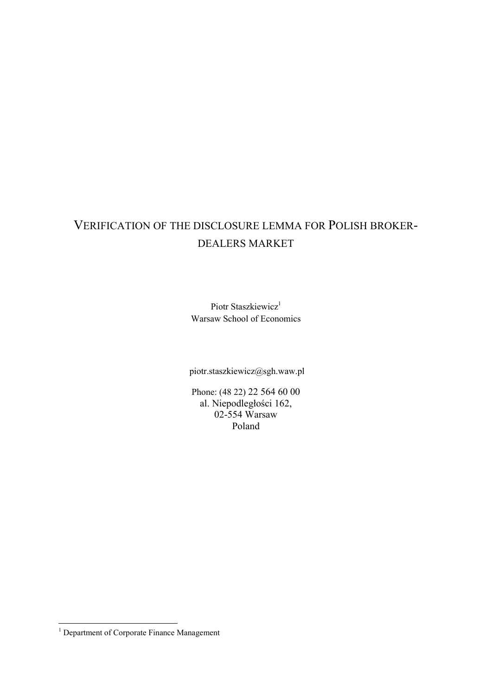# VERIFICATION OF THE DISCLOSURE LEMMA FOR POLISH BROKER DEALERS MARKET

Piotr Staszkiewicz<sup>1</sup> Warsaw School of Economics

piotr.staszkiewicz@sgh.waw.pl

Phone: (48 22) 22 564 60 00 al. Niepodległości 162, 02-554 Warsaw Poland

 $\overline{a}$ 

<sup>&</sup>lt;sup>1</sup> Department of Corporate Finance Management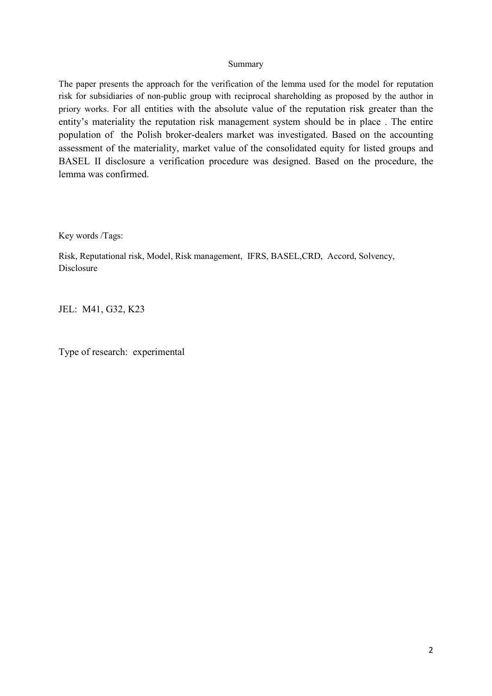#### Summary

The paper presents the approach for the verification of the lemma used for the model for reputation risk for subsidiaries of non-public group with reciprocal shareholding as proposed by the author in priory works. For all entities with the absolute value of the reputation risk greater than the entity's materiality the reputation risk management system should be in place . The entire population of the Polish broker-dealers market was investigated. Based on the accounting assessment of the materiality, market value of the consolidated equity for listed groups and BASEL II disclosure a verification procedure was designed. Based on the procedure, the lemma was confirmed.

Key words /Tags:

Risk, Reputational risk, Model, Risk management, IFRS, BASEL,CRD, Accord, Solvency, Disclosure

JEL: M41, G32, K23

Type of research: experimental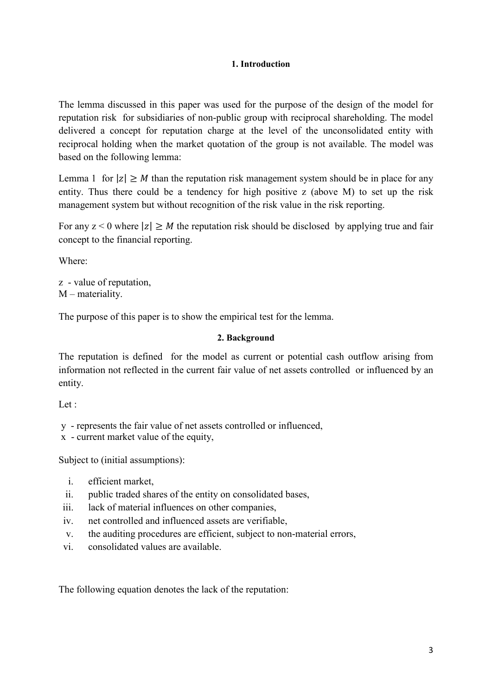## 1. Introduction

The lemma discussed in this paper was used for the purpose of the design of the model for reputation risk for subsidiaries of non-public group with reciprocal shareholding. The model delivered a concept for reputation charge at the level of the unconsolidated entity with reciprocal holding when the market quotation of the group is not available. The model was based on the following lemma:

Lemma 1 for  $|z| \geq M$  than the reputation risk management system should be in place for any entity. Thus there could be a tendency for high positive z (above M) to set up the risk management system but without recognition of the risk value in the risk reporting.

For any  $z < 0$  where  $|z| \ge M$  the reputation risk should be disclosed by applying true and fair concept to the financial reporting.

Where:

z - value of reputation, M – materiality.

The purpose of this paper is to show the empirical test for the lemma.

## 2. Background

The reputation is defined for the model as current or potential cash outflow arising from information not reflected in the current fair value of net assets controlled or influenced by an entity.

Let :

y represents the fair value of net assets controlled or influenced,

 $x -$  current market value of the equity,

Subject to (initial assumptions):

- i. efficient market,
- ii. public traded shares of the entity on consolidated bases,
- iii. lack of material influences on other companies,
- iv. net controlled and influenced assets are verifiable,
- v. the auditing procedures are efficient, subject to non-material errors,
- vi. consolidated values are available.

The following equation denotes the lack of the reputation: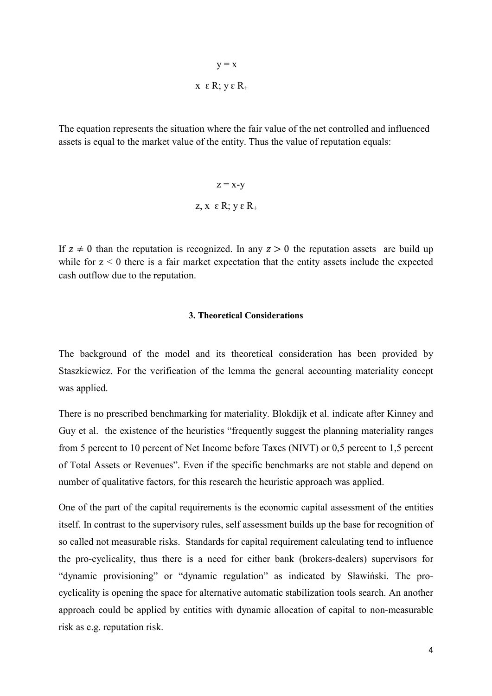$$
y = x
$$
  
x \varepsilon R; y \varepsilon R<sub>+</sub>

The equation represents the situation where the fair value of the net controlled and influenced assets is equal to the market value of the entity. Thus the value of reputation equals:

$$
z = x-y
$$
  

$$
z, x \in R; y \in R_{+}
$$

If  $z \neq 0$  than the reputation is recognized. In any  $z > 0$  the reputation assets are build up while for  $z \leq 0$  there is a fair market expectation that the entity assets include the expected cash outflow due to the reputation.

#### 3. Theoretical Considerations

The background of the model and its theoretical consideration has been provided by Staszkiewicz. For the verification of the lemma the general accounting materiality concept was applied.

There is no prescribed benchmarking for materiality. Blokdijk et al. indicate after Kinney and Guy et al. the existence of the heuristics "frequently suggest the planning materiality ranges from 5 percent to 10 percent of Net Income before Taxes (NIVT) or 0,5 percent to 1,5 percent of Total Assets or Revenues". Even if the specific benchmarks are not stable and depend on number of qualitative factors, for this research the heuristic approach was applied.

One of the part of the capital requirements is the economic capital assessment of the entities itself. In contrast to the supervisory rules, self assessment builds up the base for recognition of so called not measurable risks. Standards for capital requirement calculating tend to influence the pro-cyclicality, thus there is a need for either bank (brokers-dealers) supervisors for "dynamic provisioning" or "dynamic regulation" as indicated by Sławiński. The pro cyclicality is opening the space for alternative automatic stabilization tools search. An another approach could be applied by entities with dynamic allocation of capital to non-measurable risk as e.g. reputation risk.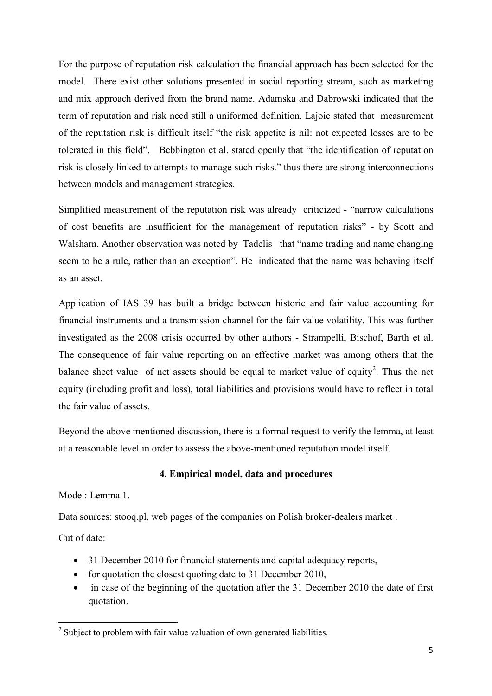For the purpose of reputation risk calculation the financial approach has been selected for the model. There exist other solutions presented in social reporting stream, such as marketing and mix approach derived from the brand name. Adamska and Dabrowski indicated that the term of reputation and risk need still a uniformed definition. Lajoie stated that measurement of the reputation risk is difficult itself "the risk appetite is nil: not expected losses are to be tolerated in this field". Bebbington et al. stated openly that "the identification of reputation risk is closely linked to attempts to manage such risks." thus there are strong interconnections between models and management strategies.

Simplified measurement of the reputation risk was already criticized - "narrow calculations" of cost benefits are insufficient for the management of reputation risks" - by Scott and Walsharn. Another observation was noted by Tadelis that "name trading and name changing seem to be a rule, rather than an exception". He indicated that the name was behaving itself as an asset.

Application of IAS 39 has built a bridge between historic and fair value accounting for financial instruments and a transmission channel for the fair value volatility. This was further investigated as the 2008 crisis occurred by other authors - Strampelli, Bischof, Barth et al. The consequence of fair value reporting on an effective market was among others that the balance sheet value of net assets should be equal to market value of equity<sup>2</sup>. Thus the net equity (including profit and loss), total liabilities and provisions would have to reflect in total the fair value of assets.

Beyond the above mentioned discussion, there is a formal request to verify the lemma, at least at a reasonable level in order to assess the above-mentioned reputation model itself.

# 4. Empirical model, data and procedures

Model: Lemma 1.

Data sources: stooq.pl, web pages of the companies on Polish broker-dealers market.

Cut of date:

 $\overline{a}$ 

- 31 December 2010 for financial statements and capital adequacy reports,
- for quotation the closest quoting date to 31 December 2010,
- in case of the beginning of the quotation after the 31 December 2010 the date of first quotation.

<sup>&</sup>lt;sup>2</sup> Subject to problem with fair value valuation of own generated liabilities.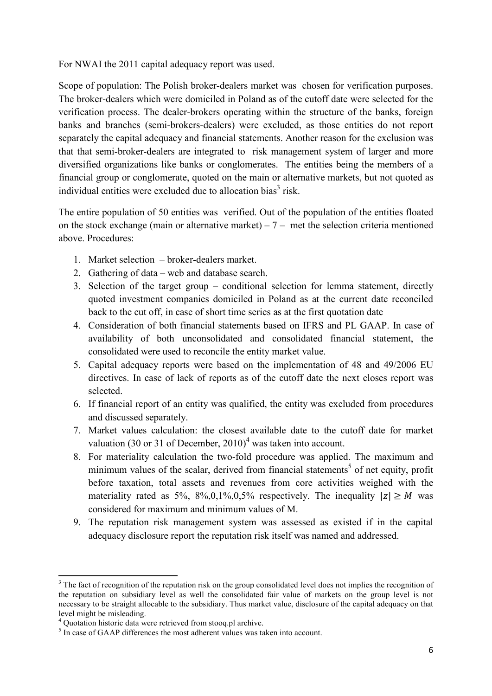For NWAI the 2011 capital adequacy report was used.

Scope of population: The Polish broker-dealers market was chosen for verification purposes. The broker-dealers which were domiciled in Poland as of the cutoff date were selected for the verification process. The dealer-brokers operating within the structure of the banks, foreign banks and branches (semi-brokers-dealers) were excluded, as those entities do not report separately the capital adequacy and financial statements. Another reason for the exclusion was that that semi-broker-dealers are integrated to risk management system of larger and more diversified organizations like banks or conglomerates. The entities being the members of a financial group or conglomerate, quoted on the main or alternative markets, but not quoted as individual entities were excluded due to allocation bias<sup>3</sup> risk.

The entire population of 50 entities was verified. Out of the population of the entities floated on the stock exchange (main or alternative market) –  $7-$  met the selection criteria mentioned above. Procedures:

- 1. Market selection broker-dealers market.
- 2. Gathering of data web and database search.
- 3. Selection of the target group conditional selection for lemma statement, directly quoted investment companies domiciled in Poland as at the current date reconciled back to the cut off, in case of short time series as at the first quotation date
- 4. Consideration of both financial statements based on IFRS and PL GAAP. In case of availability of both unconsolidated and consolidated financial statement, the consolidated were used to reconcile the entity market value.
- 5. Capital adequacy reports were based on the implementation of 48 and 49/2006 EU directives. In case of lack of reports as of the cutoff date the next closes report was selected.
- 6. If financial report of an entity was qualified, the entity was excluded from procedures and discussed separately.
- 7. Market values calculation: the closest available date to the cutoff date for market valuation (30 or 31 of December,  $2010)^4$  was taken into account.
- 8. For materiality calculation the two-fold procedure was applied. The maximum and minimum values of the scalar, derived from financial statements<sup>5</sup> of net equity, profit before taxation, total assets and revenues from core activities weighed with the materiality rated as 5%, 8%,0,1%,0,5% respectively. The inequality  $|z| \ge M$  was considered for maximum and minimum values of M.
- 9. The reputation risk management system was assessed as existed if in the capital adequacy disclosure report the reputation risk itself was named and addressed.

 $\overline{a}$ 

<sup>&</sup>lt;sup>3</sup> The fact of recognition of the reputation risk on the group consolidated level does not implies the recognition of the reputation on subsidiary level as well the consolidated fair value of markets on the group level is not necessary to be straight allocable to the subsidiary. Thus market value, disclosure of the capital adequacy on that level might be misleading.

<sup>&</sup>lt;sup>4</sup> Quotation historic data were retrieved from stooq.pl archive.

<sup>&</sup>lt;sup>5</sup> In case of GAAP differences the most adherent values was taken into account.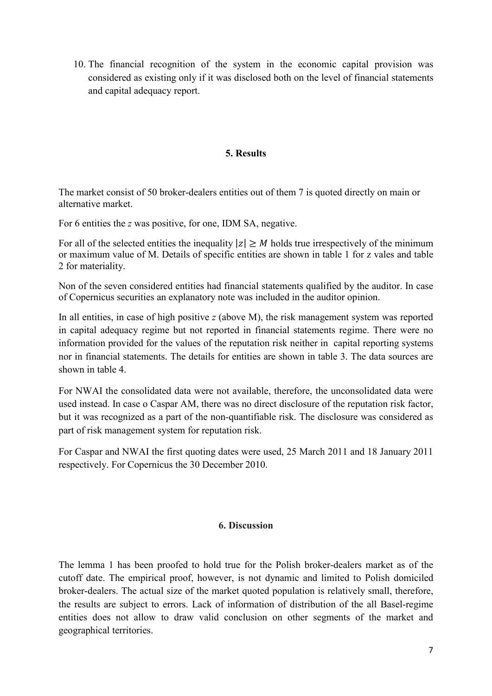10. The financial recognition of the system in the economic capital provision was considered as existing only if it was disclosed both on the level of financial statements and capital adequacy report.

## **5. Results**

The market consist of 50 broker-dealers entities out of them 7 is quoted directly on main or alternative market.

For 6 entities the *z* was positive, for one, IDM SA, negative.

For all of the selected entities the inequality  $|z| \geq M$  holds true irrespectively of the minimum or maximum value of M. Details of specific entities are shown in table 1 for z vales and table 2 for materiality.

Non of the seven considered entities had financial statements qualified by the auditor. In case of Copernicus securities an explanatory note was included in the auditor opinion.

In all entities, in case of high positive *z* (above M), the risk management system was reported in capital adequacy regime but not reported in financial statements regime. There were no information provided for the values of the reputation risk neither in capital reporting systems nor in financial statements. The details for entities are shown in table 3. The data sources are shown in table 4.

For NWAI the consolidated data were not available, therefore, the unconsolidated data were used instead. In case o Caspar AM, there was no direct disclosure of the reputation risk factor, but it was recognized as a part of the non-quantifiable risk. The disclosure was considered as part of risk management system for reputation risk.

For Caspar and NWAI the first quoting dates were used, 25 March 2011 and 18 January 2011 respectively. For Copernicus the 30 December 2010.

#### 6. Discussion

The lemma 1 has been proofed to hold true for the Polish broker-dealers market as of the cutoff date. The empirical proof, however, is not dynamic and limited to Polish domiciled broker-dealers. The actual size of the market quoted population is relatively small, therefore, the results are subject to errors. Lack of information of distribution of the all Baselregime entities does not allow to draw valid conclusion on other segments of the market and geographical territories.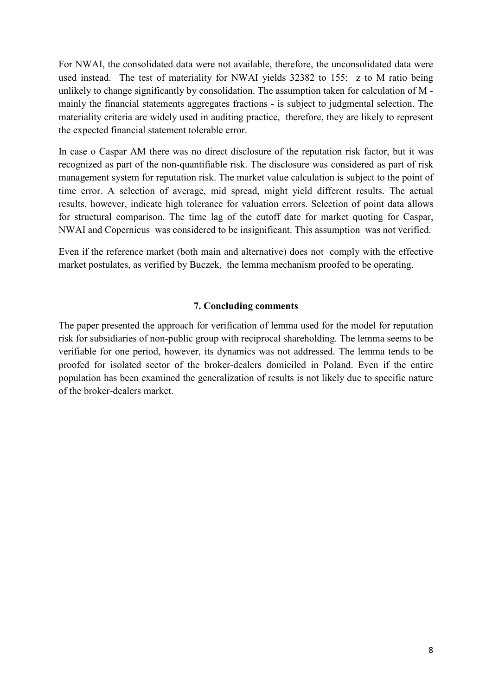For NWAI, the consolidated data were not available, therefore, the unconsolidated data were used instead. The test of materiality for NWAI yields 32382 to 155; z to M ratio being unlikely to change significantly by consolidation. The assumption taken for calculation of M mainly the financial statements aggregates fractions - is subject to judgmental selection. The materiality criteria are widely used in auditing practice, therefore, they are likely to represent the expected financial statement tolerable error.

In case o Caspar AM there was no direct disclosure of the reputation risk factor, but it was recognized as part of the non-quantifiable risk. The disclosure was considered as part of risk management system for reputation risk. The market value calculation is subject to the point of time error. A selection of average, mid spread, might yield different results. The actual results, however, indicate high tolerance for valuation errors. Selection of point data allows for structural comparison. The time lag of the cutoff date for market quoting for Caspar, NWAI and Copernicus was considered to be insignificant. This assumption was not verified.

Even if the reference market (both main and alternative) does not comply with the effective market postulates, as verified by Buczek, the lemma mechanism proofed to be operating.

## **7. Concluding comments**

The paper presented the approach for verification of lemma used for the model for reputation risk for subsidiaries of non-public group with reciprocal shareholding. The lemma seems to be verifiable for one period, however, its dynamics was not addressed. The lemma tends to be proofed for isolated sector of the broker-dealers domiciled in Poland. Even if the entire population has been examined the generalization of results is not likely due to specific nature of the broker-dealers market.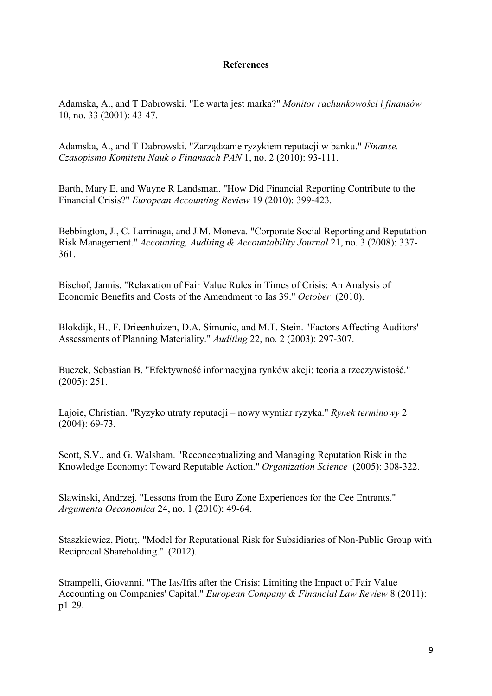#### **References**

Adamska, A., and T Dabrowski. "Ile warta jest marka?" *Monitor rachunkowości i finansów* 10, no. 33 (2001): 43-47.

Adamska, A., and T Dabrowski. "Zarządzanie ryzykiem reputacji w banku." *Finanse. Czasopismo Komitetu Nauk o Finansach PAN* 1, no. 2 (2010): 93-111.

Barth, Mary E, and Wayne R Landsman. "How Did Financial Reporting Contribute to the Financial Crisis?" *European Accounting Review* 19 (2010): 399-423.

Bebbington, J., C. Larrinaga, and J.M. Moneva. "Corporate Social Reporting and Reputation Risk Management." *Accounting, Auditing & Accountability Journal* 21, no. 3 (2008): 337 361.

Bischof, Jannis. "Relaxation of Fair Value Rules in Times of Crisis: An Analysis of Economic Benefits and Costs of the Amendment to Ias 39." *October* (2010).

Blokdijk, H., F. Drieenhuizen, D.A. Simunic, and M.T. Stein. "Factors Affecting Auditors' Assessments of Planning Materiality." *Auditing* 22, no. 2 (2003): 297-307.

Buczek, Sebastian B. "Efektywność informacyjna rynków akcji: teoria a rzeczywistość." (2005): 251.

Lajoie, Christian. "Ryzyko utraty reputacji – nowy wymiar ryzyka." *Rynek terminowy* 2  $(2004): 69-73.$ 

Scott, S.V., and G. Walsham. "Reconceptualizing and Managing Reputation Risk in the Knowledge Economy: Toward Reputable Action." *Organization Science* (2005): 308-322.

Slawinski, Andrzej. "Lessons from the Euro Zone Experiences for the Cee Entrants." *Argumenta Oeconomica* 24, no. 1 (2010): 49-64.

Staszkiewicz, Piotr;. "Model for Reputational Risk for Subsidiaries of Non-Public Group with Reciprocal Shareholding." (2012).

Strampelli, Giovanni. "The Ias/Ifrs after the Crisis: Limiting the Impact of Fair Value Accounting on Companies' Capital." *European Company & Financial Law Review* 8 (2011): p1-29.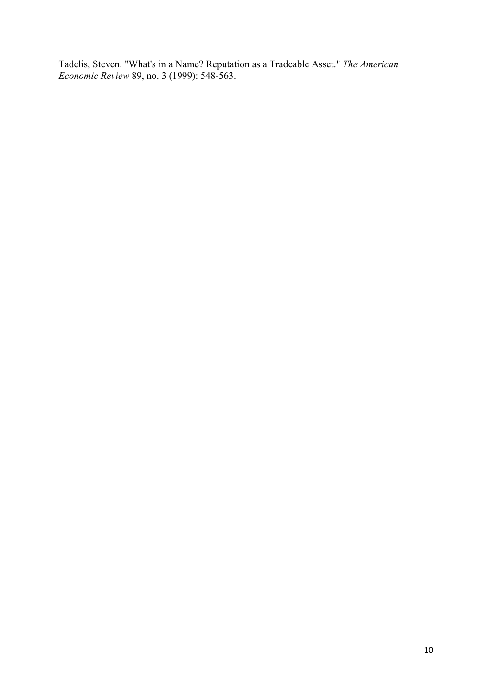Tadelis, Steven. "What's in a Name? Reputation as a Tradeable Asset." *The American Economic Review* 89, no. 3 (1999): 548-563.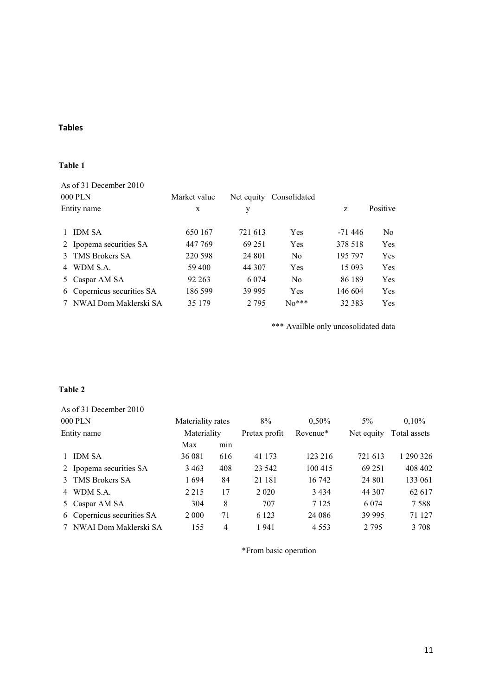# **Tables**

#### **Table 1**

|                        | As of 31 December 2010     |              |            |                |          |                |
|------------------------|----------------------------|--------------|------------|----------------|----------|----------------|
| 000 PLN<br>Entity name |                            | Market value | Net equity | Consolidated   | Z        | Positive       |
|                        |                            | X            | у          |                |          |                |
|                        | <b>IDM SA</b>              | 650 167      | 721 613    | <b>Yes</b>     | $-71446$ | N <sub>0</sub> |
|                        | 2 Ipopema securities SA    | 447 769      | 69 251     | <b>Yes</b>     | 378 518  | Yes            |
| $\mathcal{E}$          | TMS Brokers SA             | 220 598      | 24 801     | N <sub>0</sub> | 195 797  | Yes            |
| 4                      | WDM S.A.                   | 59 400       | 44 307     | Yes            | 15 093   | Yes            |
|                        | 5 Caspar AM SA             | 92 263       | 6 0 7 4    | N <sub>0</sub> | 86 189   | Yes            |
|                        | 6 Copernicus securities SA | 186 599      | 39 995     | <b>Yes</b>     | 146 604  | Yes            |
|                        | NWAI Dom Maklerski SA      | 35 1 79      | 2 7 9 5    | $No***$        | 32 383   | <b>Yes</b>     |

\*\*\* Availble only uncosolidated data

#### Table 2

|             | As of 31 December 2010     |                   |                |               |          |            |              |
|-------------|----------------------------|-------------------|----------------|---------------|----------|------------|--------------|
| 000 PLN     |                            | Materiality rates |                | 8%            | $0.50\%$ | $5\%$      | $0.10\%$     |
| Entity name |                            | Materiality       |                | Pretax profit | Revenue* | Net equity | Total assets |
|             |                            | Max               | min            |               |          |            |              |
|             | 1 IDM SA                   | 36 081            | 616            | 41 173        | 123 216  | 721 613    | 1 290 326    |
|             | 2 Ipopema securities SA    | 3 4 6 3           | 408            | 23 542        | 100 415  | 69 251     | 408 402      |
|             | 3 TMS Brokers SA           | 1694              | 84             | 21 181        | 16 742   | 24 801     | 133 061      |
|             | 4 WDM S.A.                 | 2 2 1 5           | 17             | 2 0 2 0       | 3434     | 44 307     | 62 617       |
|             | 5 Caspar AM SA             | 304               | 8              | 707           | 7 1 2 5  | 6 0 7 4    | 7.588        |
|             | 6 Copernicus securities SA | 2 0 0 0           | 71             | 6 1 2 3       | 24 08 6  | 39 995     | 71 127       |
|             | 7 NWAI Dom Maklerski SA    | 155               | $\overline{4}$ | 1941          | 4 5 5 3  | 2 7 9 5    | 3 708        |

\*From basic operation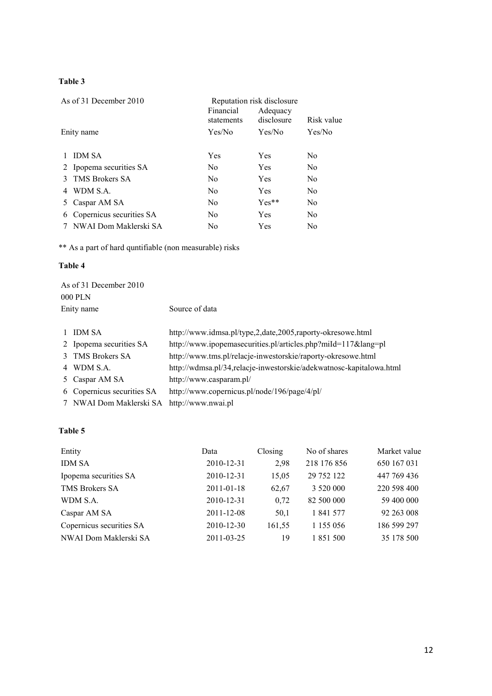# **Table 3**

| As of 31 December 2010 |                          | Reputation risk disclosure |                        |                |
|------------------------|--------------------------|----------------------------|------------------------|----------------|
|                        |                          | Financial<br>statements    | Adequacy<br>disclosure | Risk value     |
| Enity name             |                          | Yes/No<br>Yes/No           |                        | Yes/No         |
|                        |                          |                            |                        |                |
|                        | <b>IDM SA</b>            | Yes                        | Yes                    | No             |
|                        | 2 Ipopema securities SA  | N <sub>0</sub>             | <b>Yes</b>             | No             |
| 3                      | TMS Brokers SA           | N <sub>0</sub>             | Yes                    | N <sub>0</sub> |
| 4                      | WDM S.A.                 | N <sub>0</sub>             | Yes                    | N <sub>0</sub> |
| 5                      | Caspar AM SA             | N <sub>0</sub>             | $Yes**$                | No             |
| 6                      | Copernicus securities SA | No.                        | Yes                    | N <sub>0</sub> |
|                        | NWAI Dom Maklerski SA    | N <sub>0</sub>             | Yes                    | No             |

\*\* As a part of hard quntifiable (non measurable) risks

#### Table 4

|                          | Source of data                                                                                          |  |  |  |
|--------------------------|---------------------------------------------------------------------------------------------------------|--|--|--|
| <b>IDM SA</b>            | http://www.idmsa.pl/type,2.date,2005.raporty-okresowe.html                                              |  |  |  |
|                          | http://www.ipopemasecurities.pl/articles.php?miId=117⟨=pl                                               |  |  |  |
| <b>TMS Brokers SA</b>    | http://www.tms.pl/relacje-inwestorskie/raporty-okresowe.html                                            |  |  |  |
|                          | http://wdmsa.pl/34,relacje-inwestorskie/adekwatnosc-kapitalowa.html                                     |  |  |  |
| Caspar AM SA             | http://www.casparam.pl/                                                                                 |  |  |  |
| Copernicus securities SA | http://www.copernicus.pl/node/196/page/4/pl/                                                            |  |  |  |
| NWAI Dom Maklerski SA    | http://www.nwai.pl                                                                                      |  |  |  |
|                          | As of 31 December 2010<br>000 PLN<br>Enity name<br>2 Ipopema securities SA<br>3<br>4 WDM S.A.<br>5<br>6 |  |  |  |

# **Table 5**

| Entity                   | Data       | Closing | No of shares | Market value |
|--------------------------|------------|---------|--------------|--------------|
| <b>IDM SA</b>            | 2010-12-31 | 2,98    | 218 176 856  | 650 167 031  |
| Ipopema securities SA    | 2010-12-31 | 15,05   | 29 752 122   | 447 769 436  |
| TMS Brokers SA           | 2011-01-18 | 62,67   | 3 520 000    | 220 598 400  |
| WDM S.A.                 | 2010-12-31 | 0,72    | 82 500 000   | 59 400 000   |
| Caspar AM SA             | 2011-12-08 | 50,1    | 1 841 577    | 92 263 008   |
| Copernicus securities SA | 2010-12-30 | 161,55  | 1 1 5 0 5 6  | 186 599 297  |
| NWAI Dom Maklerski SA    | 2011-03-25 | 19      | 1 851 500    | 35 178 500   |